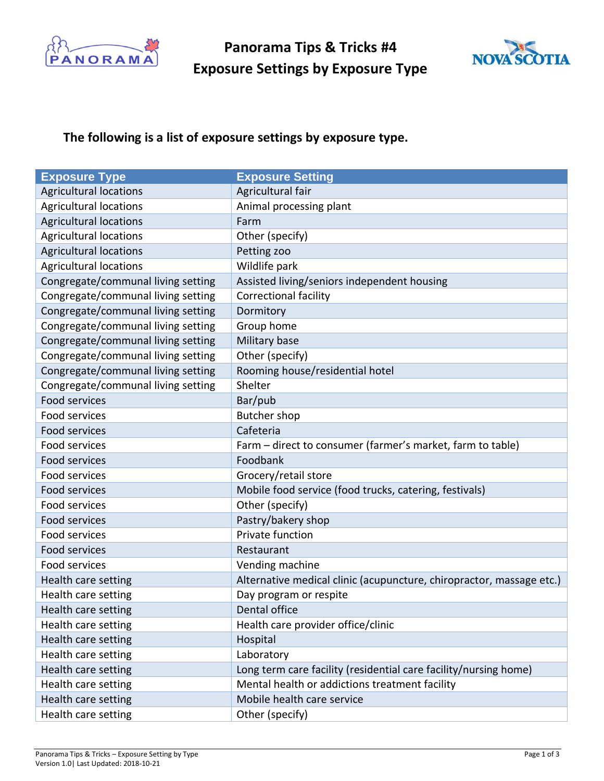

**Panorama Tips & Tricks #4 Exposure Settings by Exposure Type**



## **The following is a list of exposure settings by exposure type.**

| <b>Exposure Type</b>               | <b>Exposure Setting</b>                                              |
|------------------------------------|----------------------------------------------------------------------|
| <b>Agricultural locations</b>      | Agricultural fair                                                    |
| <b>Agricultural locations</b>      | Animal processing plant                                              |
| <b>Agricultural locations</b>      | Farm                                                                 |
| <b>Agricultural locations</b>      | Other (specify)                                                      |
| <b>Agricultural locations</b>      | Petting zoo                                                          |
| <b>Agricultural locations</b>      | Wildlife park                                                        |
| Congregate/communal living setting | Assisted living/seniors independent housing                          |
| Congregate/communal living setting | <b>Correctional facility</b>                                         |
| Congregate/communal living setting | Dormitory                                                            |
| Congregate/communal living setting | Group home                                                           |
| Congregate/communal living setting | Military base                                                        |
| Congregate/communal living setting | Other (specify)                                                      |
| Congregate/communal living setting | Rooming house/residential hotel                                      |
| Congregate/communal living setting | Shelter                                                              |
| Food services                      | Bar/pub                                                              |
| Food services                      | <b>Butcher shop</b>                                                  |
| Food services                      | Cafeteria                                                            |
| Food services                      | Farm – direct to consumer (farmer's market, farm to table)           |
| Food services                      | Foodbank                                                             |
| Food services                      | Grocery/retail store                                                 |
| Food services                      | Mobile food service (food trucks, catering, festivals)               |
| Food services                      | Other (specify)                                                      |
| Food services                      | Pastry/bakery shop                                                   |
| Food services                      | Private function                                                     |
| Food services                      | Restaurant                                                           |
| Food services                      | Vending machine                                                      |
| Health care setting                | Alternative medical clinic (acupuncture, chiropractor, massage etc.) |
| Health care setting                | Day program or respite                                               |
| Health care setting                | Dental office                                                        |
| Health care setting                | Health care provider office/clinic                                   |
| Health care setting                | Hospital                                                             |
| Health care setting                | Laboratory                                                           |
| Health care setting                | Long term care facility (residential care facility/nursing home)     |
| Health care setting                | Mental health or addictions treatment facility                       |
| Health care setting                | Mobile health care service                                           |
| Health care setting                | Other (specify)                                                      |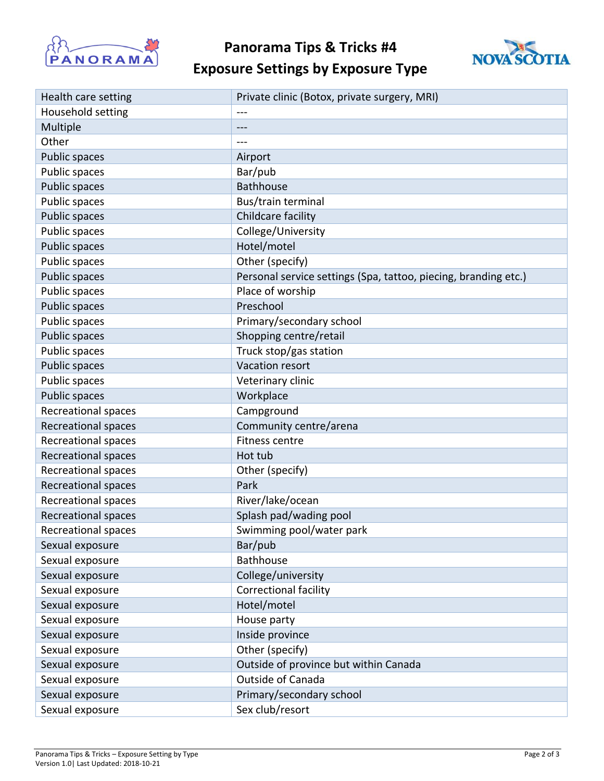

**Panorama Tips & Tricks #4**



## **Exposure Settings by Exposure Type**

| Health care setting        | Private clinic (Botox, private surgery, MRI)                    |
|----------------------------|-----------------------------------------------------------------|
| Household setting          |                                                                 |
| Multiple                   | $---$                                                           |
| Other                      |                                                                 |
| Public spaces              | Airport                                                         |
| Public spaces              | Bar/pub                                                         |
| Public spaces              | <b>Bathhouse</b>                                                |
| Public spaces              | Bus/train terminal                                              |
| Public spaces              | Childcare facility                                              |
| Public spaces              | College/University                                              |
| Public spaces              | Hotel/motel                                                     |
| Public spaces              | Other (specify)                                                 |
| Public spaces              | Personal service settings (Spa, tattoo, piecing, branding etc.) |
| Public spaces              | Place of worship                                                |
| Public spaces              | Preschool                                                       |
| Public spaces              | Primary/secondary school                                        |
| Public spaces              | Shopping centre/retail                                          |
| Public spaces              | Truck stop/gas station                                          |
| Public spaces              | Vacation resort                                                 |
| Public spaces              | Veterinary clinic                                               |
| Public spaces              | Workplace                                                       |
| Recreational spaces        | Campground                                                      |
| Recreational spaces        | Community centre/arena                                          |
| <b>Recreational spaces</b> | <b>Fitness centre</b>                                           |
| Recreational spaces        | Hot tub                                                         |
| <b>Recreational spaces</b> | Other (specify)                                                 |
| Recreational spaces        | Park                                                            |
| Recreational spaces        | River/lake/ocean                                                |
| Recreational spaces        | Splash pad/wading pool                                          |
| Recreational spaces        | Swimming pool/water park                                        |
| Sexual exposure            | Bar/pub                                                         |
| Sexual exposure            | <b>Bathhouse</b>                                                |
| Sexual exposure            | College/university                                              |
| Sexual exposure            | <b>Correctional facility</b>                                    |
| Sexual exposure            | Hotel/motel                                                     |
| Sexual exposure            | House party                                                     |
| Sexual exposure            | Inside province                                                 |
| Sexual exposure            | Other (specify)                                                 |
| Sexual exposure            | Outside of province but within Canada                           |
| Sexual exposure            | <b>Outside of Canada</b>                                        |
| Sexual exposure            | Primary/secondary school                                        |
| Sexual exposure            | Sex club/resort                                                 |